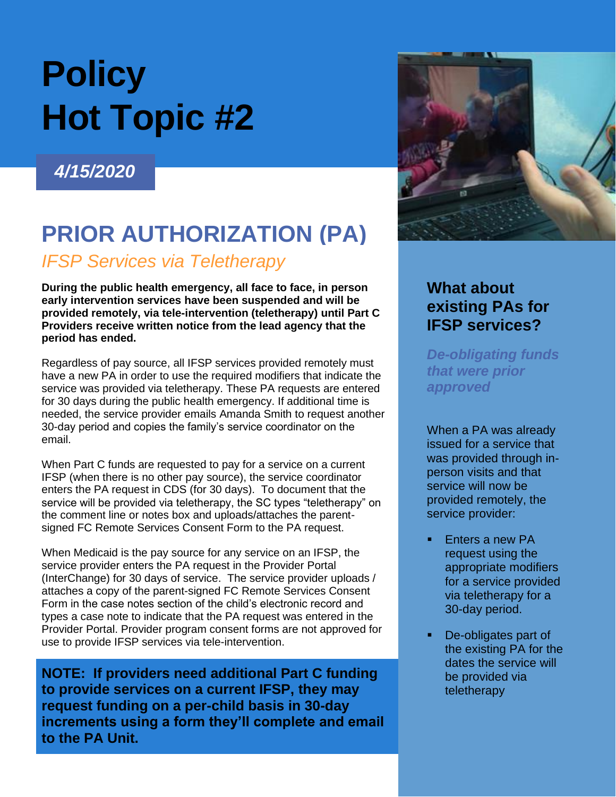# **Policy Hot Topic #2**

# *4/15/2020*

# **PRIOR AUTHORIZATION (PA)**

## *IFSP Services via Teletherapy*

**During the public health emergency, all face to face, in person early intervention services have been suspended and will be provided remotely, via tele-intervention (teletherapy) until Part C Providers receive written notice from the lead agency that the period has ended.** 

Regardless of pay source, all IFSP services provided remotely must have a new PA in order to use the required modifiers that indicate the service was provided via teletherapy. These PA requests are entered for 30 days during the public health emergency. If additional time is needed, the service provider emails Amanda Smith to request another 30-day period and copies the family's service coordinator on the email.

When Part C funds are requested to pay for a service on a current IFSP (when there is no other pay source), the service coordinator enters the PA request in CDS (for 30 days). To document that the service will be provided via teletherapy, the SC types "teletherapy" on the comment line or notes box and uploads/attaches the parentsigned FC Remote Services Consent Form to the PA request.

When Medicaid is the pay source for any service on an IFSP, the service provider enters the PA request in the Provider Portal (InterChange) for 30 days of service. The service provider uploads / attaches a copy of the parent-signed FC Remote Services Consent Form in the case notes section of the child's electronic record and types a case note to indicate that the PA request was entered in the Provider Portal. Provider program consent forms are not approved for use to provide IFSP services via tele-intervention.

**NOTE: If providers need additional Part C funding to provide services on a current IFSP, they may request funding on a per-child basis in 30-day increments using a form they'll complete and email to the PA Unit.**



## **What about existing PAs for IFSP services?**

*De-obligating funds that were prior approved*

When a PA was already issued for a service that was provided through inperson visits and that service will now be provided remotely, the service provider:

- Enters a new PA request using the appropriate modifiers for a service provided via teletherapy for a 30-day period.
- De-obligates part of the existing PA for the dates the service will be provided via teletherapy